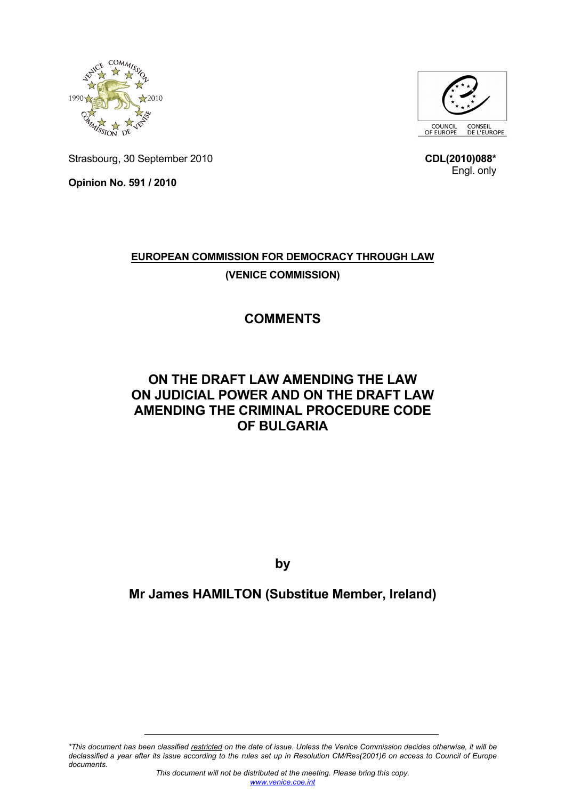



Strasbourg, 30 September 2010

**Opinion No. 591 / 2010** 

**CDL(2010)088\*** Engl. only

## **EUROPEAN COMMISSION FOR DEMOCRACY THROUGH LAW (VENICE COMMISSION)**

# **COMMENTS**

## **ON THE DRAFT LAW AMENDING THE LAW ON JUDICIAL POWER AND ON THE DRAFT LAW AMENDING THE CRIMINAL PROCEDURE CODE OF BULGARIA**

**by** 

### **Mr James HAMILTON (Substitue Member, Ireland)**

*\*This document has been classified restricted on the date of issue. Unless the Venice Commission decides otherwise, it will be declassified a year after its issue according to the rules set up in Resolution CM/Res(2001)6 on access to Council of Europe documents.*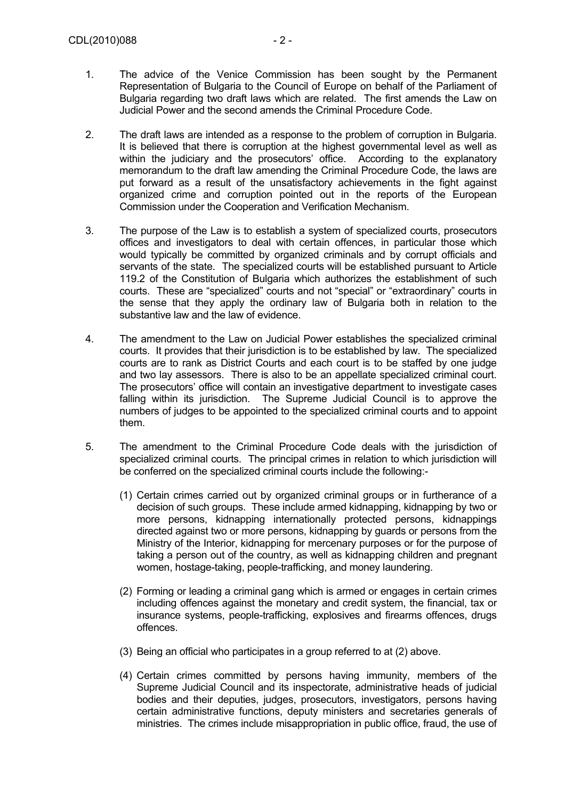- 1. The advice of the Venice Commission has been sought by the Permanent Representation of Bulgaria to the Council of Europe on behalf of the Parliament of Bulgaria regarding two draft laws which are related. The first amends the Law on Judicial Power and the second amends the Criminal Procedure Code.
- 2. The draft laws are intended as a response to the problem of corruption in Bulgaria. It is believed that there is corruption at the highest governmental level as well as within the judiciary and the prosecutors' office. According to the explanatory memorandum to the draft law amending the Criminal Procedure Code, the laws are put forward as a result of the unsatisfactory achievements in the fight against organized crime and corruption pointed out in the reports of the European Commission under the Cooperation and Verification Mechanism.
- 3. The purpose of the Law is to establish a system of specialized courts, prosecutors offices and investigators to deal with certain offences, in particular those which would typically be committed by organized criminals and by corrupt officials and servants of the state. The specialized courts will be established pursuant to Article 119.2 of the Constitution of Bulgaria which authorizes the establishment of such courts. These are "specialized" courts and not "special" or "extraordinary" courts in the sense that they apply the ordinary law of Bulgaria both in relation to the substantive law and the law of evidence.
- 4. The amendment to the Law on Judicial Power establishes the specialized criminal courts. It provides that their jurisdiction is to be established by law. The specialized courts are to rank as District Courts and each court is to be staffed by one judge and two lay assessors. There is also to be an appellate specialized criminal court. The prosecutors' office will contain an investigative department to investigate cases falling within its jurisdiction. The Supreme Judicial Council is to approve the numbers of judges to be appointed to the specialized criminal courts and to appoint them.
- 5. The amendment to the Criminal Procedure Code deals with the jurisdiction of specialized criminal courts. The principal crimes in relation to which jurisdiction will be conferred on the specialized criminal courts include the following:-
	- (1) Certain crimes carried out by organized criminal groups or in furtherance of a decision of such groups. These include armed kidnapping, kidnapping by two or more persons, kidnapping internationally protected persons, kidnappings directed against two or more persons, kidnapping by guards or persons from the Ministry of the Interior, kidnapping for mercenary purposes or for the purpose of taking a person out of the country, as well as kidnapping children and pregnant women, hostage-taking, people-trafficking, and money laundering.
	- (2) Forming or leading a criminal gang which is armed or engages in certain crimes including offences against the monetary and credit system, the financial, tax or insurance systems, people-trafficking, explosives and firearms offences, drugs offences.
	- (3) Being an official who participates in a group referred to at (2) above.
	- (4) Certain crimes committed by persons having immunity, members of the Supreme Judicial Council and its inspectorate, administrative heads of judicial bodies and their deputies, judges, prosecutors, investigators, persons having certain administrative functions, deputy ministers and secretaries generals of ministries. The crimes include misappropriation in public office, fraud, the use of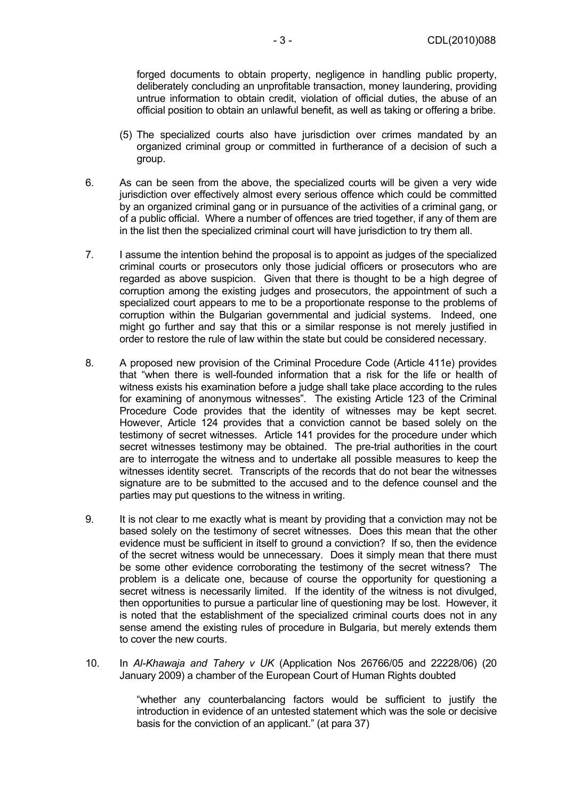forged documents to obtain property, negligence in handling public property, deliberately concluding an unprofitable transaction, money laundering, providing untrue information to obtain credit, violation of official duties, the abuse of an official position to obtain an unlawful benefit, as well as taking or offering a bribe.

- (5) The specialized courts also have jurisdiction over crimes mandated by an organized criminal group or committed in furtherance of a decision of such a group.
- 6. As can be seen from the above, the specialized courts will be given a very wide jurisdiction over effectively almost every serious offence which could be committed by an organized criminal gang or in pursuance of the activities of a criminal gang, or of a public official. Where a number of offences are tried together, if any of them are in the list then the specialized criminal court will have jurisdiction to try them all.
- 7. I assume the intention behind the proposal is to appoint as judges of the specialized criminal courts or prosecutors only those judicial officers or prosecutors who are regarded as above suspicion. Given that there is thought to be a high degree of corruption among the existing judges and prosecutors, the appointment of such a specialized court appears to me to be a proportionate response to the problems of corruption within the Bulgarian governmental and judicial systems. Indeed, one might go further and say that this or a similar response is not merely justified in order to restore the rule of law within the state but could be considered necessary.
- 8. A proposed new provision of the Criminal Procedure Code (Article 411e) provides that "when there is well-founded information that a risk for the life or health of witness exists his examination before a judge shall take place according to the rules for examining of anonymous witnesses". The existing Article 123 of the Criminal Procedure Code provides that the identity of witnesses may be kept secret. However, Article 124 provides that a conviction cannot be based solely on the testimony of secret witnesses. Article 141 provides for the procedure under which secret witnesses testimony may be obtained. The pre-trial authorities in the court are to interrogate the witness and to undertake all possible measures to keep the witnesses identity secret. Transcripts of the records that do not bear the witnesses signature are to be submitted to the accused and to the defence counsel and the parties may put questions to the witness in writing.
- 9. It is not clear to me exactly what is meant by providing that a conviction may not be based solely on the testimony of secret witnesses. Does this mean that the other evidence must be sufficient in itself to ground a conviction? If so, then the evidence of the secret witness would be unnecessary. Does it simply mean that there must be some other evidence corroborating the testimony of the secret witness? The problem is a delicate one, because of course the opportunity for questioning a secret witness is necessarily limited. If the identity of the witness is not divulged, then opportunities to pursue a particular line of questioning may be lost. However, it is noted that the establishment of the specialized criminal courts does not in any sense amend the existing rules of procedure in Bulgaria, but merely extends them to cover the new courts.
- 10. In *Al-Khawaja and Tahery v UK* (Application Nos 26766/05 and 22228/06) (20 January 2009) a chamber of the European Court of Human Rights doubted

"whether any counterbalancing factors would be sufficient to justify the introduction in evidence of an untested statement which was the sole or decisive basis for the conviction of an applicant." (at para 37)